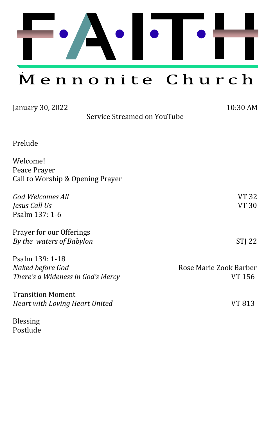

Mennonite Church

| January 30, 2022                                                         | 10:30 AM                         |
|--------------------------------------------------------------------------|----------------------------------|
| Service Streamed on YouTube                                              |                                  |
| Prelude                                                                  |                                  |
| Welcome!<br>Peace Prayer<br>Call to Worship & Opening Prayer             |                                  |
| <b>God Welcomes All</b><br>Jesus Call Us<br>Psalm 137: 1-6               | VT 32<br>VT 30                   |
| Prayer for our Offerings<br>By the waters of Babylon                     | STJ 22                           |
| Psalm 139: 1-18<br>Naked before God<br>There's a Wideness in God's Mercy | Rose Marie Zook Barber<br>VT 156 |
| <b>Transition Moment</b><br><b>Heart with Loving Heart United</b>        | VT 813                           |
| <b>Blessing</b><br>Postlude                                              |                                  |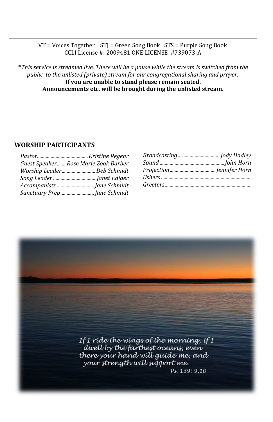### VT = Voices Together STJ = Green Song Book STS = Purple Song Book CCLI License #: 2009481 ONE LICENSE #739073-A

\**This service is streamed live. There will be a pause while the stream is switched from the public to the unlisted (private) stream for our congregational sharing and prayer.*  **If you are unable to stand please remain seated. Announcements etc. will be brought during the unlisted stream.**

### **WORSHIP PARTICIPANTS**

| Guest Speaker Rose Marie Zook Barber |  |
|--------------------------------------|--|
| Worship LeaderDeb Schmidt            |  |
|                                      |  |
|                                      |  |
|                                      |  |

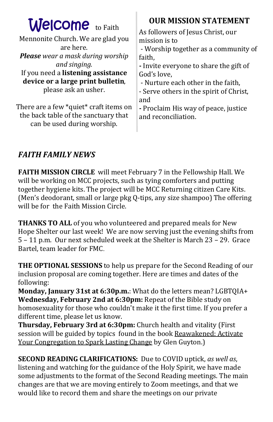| <b>Welcome</b> to Faith<br>Mennonite Church. We are glad you<br>are here.<br><b>Please</b> wear a mask during worship<br>and singing.<br>If you need a listening assistance<br>device or a large print bulletin,<br>please ask an usher. | <b>OUR MISSION STATEMENT</b><br>As followers of Jesus Christ, our<br>mission is to<br>- Worship together as a community of<br>faith,<br>- Invite everyone to share the gift of<br>God's love,<br>- Nurture each other in the faith,<br>- Serve others in the spirit of Christ,<br>and |
|------------------------------------------------------------------------------------------------------------------------------------------------------------------------------------------------------------------------------------------|---------------------------------------------------------------------------------------------------------------------------------------------------------------------------------------------------------------------------------------------------------------------------------------|
| There are a few *quiet* craft items on<br>the back table of the sanctuary that<br>can be used during worship.                                                                                                                            | - Proclaim His way of peace, justice<br>and reconciliation.                                                                                                                                                                                                                           |

### *FAITH FAMILY NEWS*

**FAITH MISSION CIRCLE** will meet February 7 in the Fellowship Hall. We will be working on MCC projects, such as tying comforters and putting together hygiene kits. The project will be MCC Returning citizen Care Kits. (Men's deodorant, small or large pkg Q-tips, any size shampoo) The offering will be for the Faith Mission Circle.

**THANKS TO ALL** of you who volunteered and prepared meals for New Hope Shelter our last week! We are now serving just the evening shifts from 5 – 11 p.m. Our next scheduled week at the Shelter is March 23 – 29. Grace Bartel, team leader for FMC.

**THE OPTIONAL SESSIONS** to help us prepare for the Second Reading of our inclusion proposal are coming together. Here are times and dates of the following:

**Monday, January 31st at 6:30p.m.**: What do the letters mean? LGBTQIA+ **Wednesday, February 2nd at 6:30pm:** Repeat of the Bible study on homosexuality for those who couldn't make it the first time. If you prefer a different time, please let us know.

**Thursday, February 3rd at 6:30pm:** Church health and vitality (First session will be guided by topics found in the book Reawakened: Activate Your Congregation to Spark Lasting Change by Glen Guyton.)

**SECOND READING CLARIFICATIONS:** Due to COVID uptick, *as well as*, listening and watching for the guidance of the Holy Spirit, we have made some adjustments to the format of the Second Reading meetings. The main changes are that we are moving entirely to Zoom meetings, and that we would like to record them and share the meetings on our private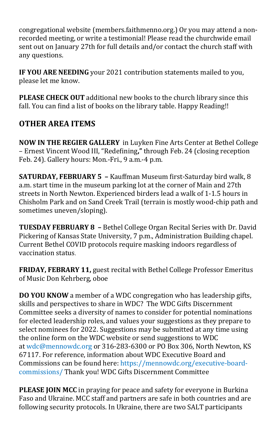congregational website (members.faithmenno.org.) Or you may attend a nonrecorded meeting, or write a testimonial! Please read the churchwide email sent out on January 27th for full details and/or contact the church staff with any questions.

**IF YOU ARE NEEDING** your 2021 contribution statements mailed to you, please let me know.

**PLEASE CHECK OUT** additional new books to the church library since this fall. You can find a list of books on the library table. Happy Reading!!

## **OTHER AREA ITEMS**

**NOW IN THE REGIER GALLERY** in Luyken Fine Arts Center at Bethel College – Ernest Vincent Wood III, "Redefining**,"** through Feb. 24 (closing reception Feb. 24). Gallery hours: Mon.-Fri., 9 a.m.-4 p.m.

**SATURDAY, FEBRUARY 5 –** Kauffman Museum first-Saturday bird walk, 8 a.m. start time in the museum parking lot at the corner of Main and 27th streets in North Newton. Experienced birders lead a walk of 1-1.5 hours in Chisholm Park and on Sand Creek Trail (terrain is mostly wood-chip path and sometimes uneven/sloping).

**TUESDAY FEBRUARY 8 –** Bethel College Organ Recital Series with Dr. David Pickering of Kansas State University, 7 p.m., Administration Building chapel. Current Bethel COVID protocols require masking indoors regardless of vaccination status*.*

**FRIDAY, FEBRARY 11,** guest recital with Bethel College Professor Emeritus of Music Don Kehrberg, oboe

**DO YOU KNOW** a member of a WDC congregation who has leadership gifts, skills and perspectives to share in WDC? The WDC Gifts Discernment Committee seeks a diversity of names to consider for potential nominations for elected leadership roles, and values your suggestions as they prepare to select nominees for 2022. Suggestions may be submitted at any time using the online form on the WDC website or send suggestions to WDC at [wdc@mennowdc.org](mailto:wdc@mennowdc.org) or 316-283-6300 or PO Box 306, North Newton, KS 67117. For reference, information about WDC Executive Board and Commissions can be found here: [https://mennowdc.org/executive](https://mennowdc.org/executive-board-commissions/)-board[commissions/](https://mennowdc.org/executive-board-commissions/) Thank you! WDC Gifts Discernment Committee

**PLEASE JOIN MCC** in praying for peace and safety for everyone in Burkina Faso and Ukraine. MCC staff and partners are safe in both countries and are following security protocols. In Ukraine, there are two SALT participants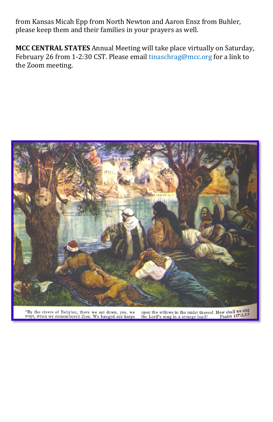from Kansas Micah Epp from North Newton and Aaron Ensz from Buhler, please keep them and their families in your prayers as well.

**MCC CENTRAL STATES** Annual Meeting will take place virtually on Saturday, February 26 from 1-2:30 CST. Please email [tinaschrag@mcc.org](mailto:tinaschrag@mcc.org) for a link to the Zoom meeting.



"By the rivers of Babylon, there we sat down, yea, we wept, when we remembered Zion. We hanged our harps

upon the willows in the midst thereof. How shall we sing<br>the Lord's song in a strange land? Psalm  $137:1,2,4$